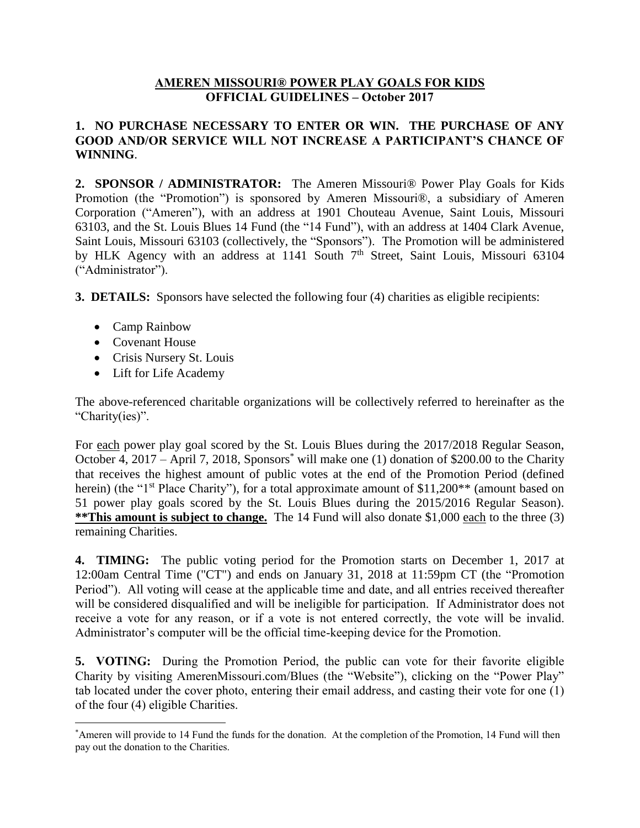## **AMEREN MISSOURI® POWER PLAY GOALS FOR KIDS OFFICIAL GUIDELINES – October 2017**

## **1. NO PURCHASE NECESSARY TO ENTER OR WIN. THE PURCHASE OF ANY GOOD AND/OR SERVICE WILL NOT INCREASE A PARTICIPANT'S CHANCE OF WINNING**.

**2. SPONSOR / ADMINISTRATOR:** The Ameren Missouri® Power Play Goals for Kids Promotion (the "Promotion") is sponsored by Ameren Missouri®, a subsidiary of Ameren Corporation ("Ameren"), with an address at 1901 Chouteau Avenue, Saint Louis, Missouri 63103, and the St. Louis Blues 14 Fund (the "14 Fund"), with an address at 1404 Clark Avenue, Saint Louis, Missouri 63103 (collectively, the "Sponsors"). The Promotion will be administered by HLK Agency with an address at 1141 South 7<sup>th</sup> Street, Saint Louis, Missouri 63104 ("Administrator").

**3. DETAILS:** Sponsors have selected the following four (4) charities as eligible recipients:

- Camp Rainbow
- Covenant House

 $\overline{a}$ 

- Crisis Nursery St. Louis
- Lift for Life Academy

The above-referenced charitable organizations will be collectively referred to hereinafter as the "Charity(ies)".

For each power play goal scored by the St. Louis Blues during the 2017/2018 Regular Season, October 4, 2017 – April 7, 2018, Sponsors\* will make one (1) donation of \$200.00 to the Charity that receives the highest amount of public votes at the end of the Promotion Period (defined herein) (the "1<sup>st</sup> Place Charity"), for a total approximate amount of \$11,200\*\* (amount based on 51 power play goals scored by the St. Louis Blues during the 2015/2016 Regular Season). \*\*This amount is subject to change. The 14 Fund will also donate \$1,000 each to the three (3) remaining Charities.

**4. TIMING:** The public voting period for the Promotion starts on December 1, 2017 at 12:00am Central Time ("CT") and ends on January 31, 2018 at 11:59pm CT (the "Promotion Period"). All voting will cease at the applicable time and date, and all entries received thereafter will be considered disqualified and will be ineligible for participation. If Administrator does not receive a vote for any reason, or if a vote is not entered correctly, the vote will be invalid. Administrator's computer will be the official time-keeping device for the Promotion.

**5. VOTING:** During the Promotion Period, the public can vote for their favorite eligible Charity by visiting AmerenMissouri.com/Blues (the "Website"), clicking on the "Power Play" tab located under the cover photo, entering their email address, and casting their vote for one (1) of the four (4) eligible Charities.

<sup>\*</sup>Ameren will provide to 14 Fund the funds for the donation. At the completion of the Promotion, 14 Fund will then pay out the donation to the Charities.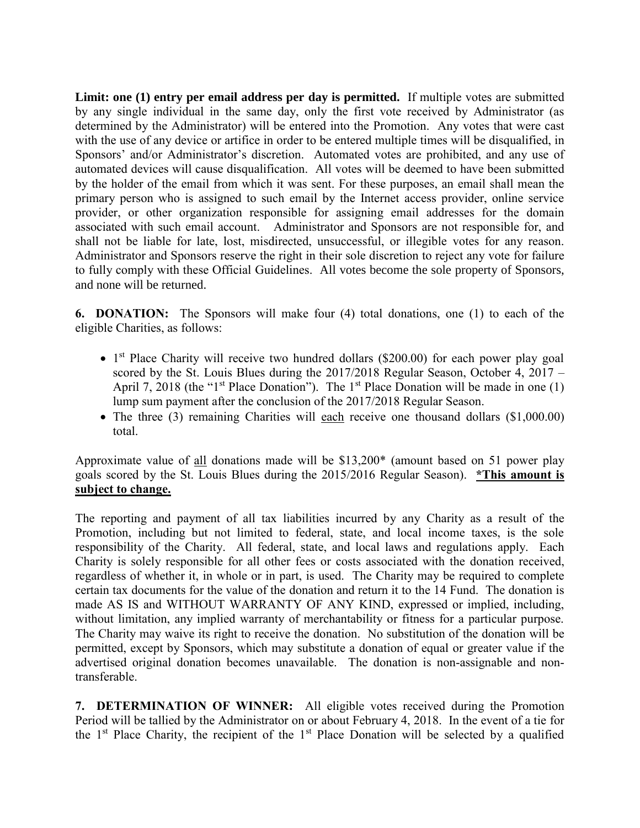**Limit: one (1) entry per email address per day is permitted.** If multiple votes are submitted by any single individual in the same day, only the first vote received by Administrator (as determined by the Administrator) will be entered into the Promotion. Any votes that were cast with the use of any device or artifice in order to be entered multiple times will be disqualified, in Sponsors' and/or Administrator's discretion. Automated votes are prohibited, and any use of automated devices will cause disqualification. All votes will be deemed to have been submitted by the holder of the email from which it was sent. For these purposes, an email shall mean the primary person who is assigned to such email by the Internet access provider, online service provider, or other organization responsible for assigning email addresses for the domain associated with such email account. Administrator and Sponsors are not responsible for, and shall not be liable for late, lost, misdirected, unsuccessful, or illegible votes for any reason. Administrator and Sponsors reserve the right in their sole discretion to reject any vote for failure to fully comply with these Official Guidelines. All votes become the sole property of Sponsors, and none will be returned.

**6. DONATION:** The Sponsors will make four (4) total donations, one (1) to each of the eligible Charities, as follows:

- $\bullet$  1<sup>st</sup> Place Charity will receive two hundred dollars (\$200.00) for each power play goal scored by the St. Louis Blues during the 2017/2018 Regular Season, October 4, 2017 – April 7, 2018 (the "1<sup>st</sup> Place Donation"). The 1<sup>st</sup> Place Donation will be made in one (1) lump sum payment after the conclusion of the 2017/2018 Regular Season.
- The three (3) remaining Charities will each receive one thousand dollars (\$1,000.00) total.

Approximate value of all donations made will be \$13,200\* (amount based on 51 power play goals scored by the St. Louis Blues during the 2015/2016 Regular Season). **\*This amount is subject to change.**

The reporting and payment of all tax liabilities incurred by any Charity as a result of the Promotion, including but not limited to federal, state, and local income taxes, is the sole responsibility of the Charity. All federal, state, and local laws and regulations apply. Each Charity is solely responsible for all other fees or costs associated with the donation received, regardless of whether it, in whole or in part, is used. The Charity may be required to complete certain tax documents for the value of the donation and return it to the 14 Fund. The donation is made AS IS and WITHOUT WARRANTY OF ANY KIND, expressed or implied, including, without limitation, any implied warranty of merchantability or fitness for a particular purpose. The Charity may waive its right to receive the donation. No substitution of the donation will be permitted, except by Sponsors, which may substitute a donation of equal or greater value if the advertised original donation becomes unavailable. The donation is non-assignable and nontransferable.

**7. DETERMINATION OF WINNER:** All eligible votes received during the Promotion Period will be tallied by the Administrator on or about February 4, 2018. In the event of a tie for the 1st Place Charity, the recipient of the 1st Place Donation will be selected by a qualified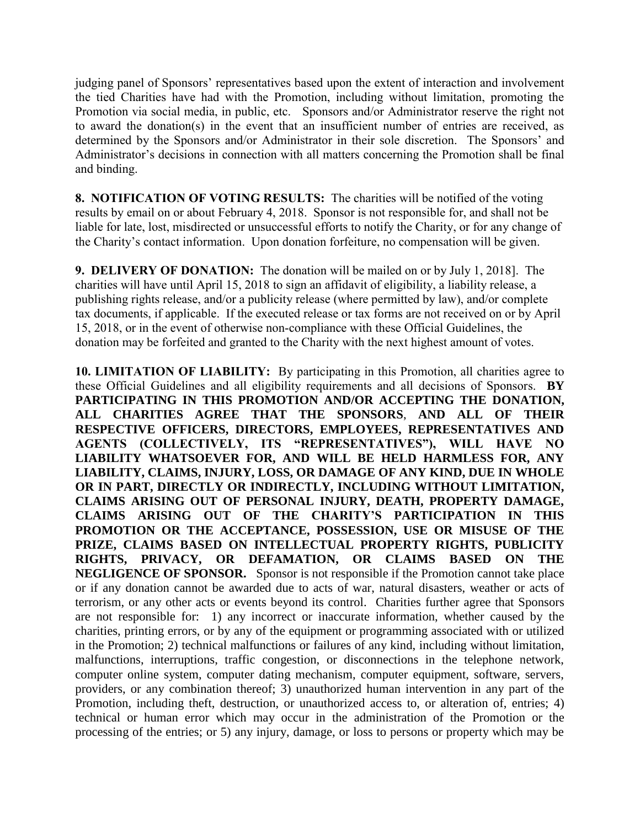judging panel of Sponsors' representatives based upon the extent of interaction and involvement the tied Charities have had with the Promotion, including without limitation, promoting the Promotion via social media, in public, etc. Sponsors and/or Administrator reserve the right not to award the donation(s) in the event that an insufficient number of entries are received, as determined by the Sponsors and/or Administrator in their sole discretion. The Sponsors' and Administrator's decisions in connection with all matters concerning the Promotion shall be final and binding.

**8. NOTIFICATION OF VOTING RESULTS:** The charities will be notified of the voting results by email on or about February 4, 2018. Sponsor is not responsible for, and shall not be liable for late, lost, misdirected or unsuccessful efforts to notify the Charity, or for any change of the Charity's contact information. Upon donation forfeiture, no compensation will be given.

**9. DELIVERY OF DONATION:** The donation will be mailed on or by July 1, 2018]. The charities will have until April 15, 2018 to sign an affidavit of eligibility, a liability release, a publishing rights release, and/or a publicity release (where permitted by law), and/or complete tax documents, if applicable. If the executed release or tax forms are not received on or by April 15, 2018, or in the event of otherwise non-compliance with these Official Guidelines, the donation may be forfeited and granted to the Charity with the next highest amount of votes.

**10. LIMITATION OF LIABILITY:** By participating in this Promotion, all charities agree to these Official Guidelines and all eligibility requirements and all decisions of Sponsors. **BY PARTICIPATING IN THIS PROMOTION AND/OR ACCEPTING THE DONATION, ALL CHARITIES AGREE THAT THE SPONSORS**, **AND ALL OF THEIR RESPECTIVE OFFICERS, DIRECTORS, EMPLOYEES, REPRESENTATIVES AND AGENTS (COLLECTIVELY, ITS "REPRESENTATIVES"), WILL HAVE NO LIABILITY WHATSOEVER FOR, AND WILL BE HELD HARMLESS FOR, ANY LIABILITY, CLAIMS, INJURY, LOSS, OR DAMAGE OF ANY KIND, DUE IN WHOLE OR IN PART, DIRECTLY OR INDIRECTLY, INCLUDING WITHOUT LIMITATION, CLAIMS ARISING OUT OF PERSONAL INJURY, DEATH, PROPERTY DAMAGE, CLAIMS ARISING OUT OF THE CHARITY'S PARTICIPATION IN THIS PROMOTION OR THE ACCEPTANCE, POSSESSION, USE OR MISUSE OF THE PRIZE, CLAIMS BASED ON INTELLECTUAL PROPERTY RIGHTS, PUBLICITY RIGHTS, PRIVACY, OR DEFAMATION, OR CLAIMS BASED ON THE NEGLIGENCE OF SPONSOR.** Sponsor is not responsible if the Promotion cannot take place or if any donation cannot be awarded due to acts of war, natural disasters, weather or acts of terrorism, or any other acts or events beyond its control. Charities further agree that Sponsors are not responsible for: 1) any incorrect or inaccurate information, whether caused by the charities, printing errors, or by any of the equipment or programming associated with or utilized in the Promotion; 2) technical malfunctions or failures of any kind, including without limitation, malfunctions, interruptions, traffic congestion, or disconnections in the telephone network, computer online system, computer dating mechanism, computer equipment, software, servers, providers, or any combination thereof; 3) unauthorized human intervention in any part of the Promotion, including theft, destruction, or unauthorized access to, or alteration of, entries; 4) technical or human error which may occur in the administration of the Promotion or the processing of the entries; or 5) any injury, damage, or loss to persons or property which may be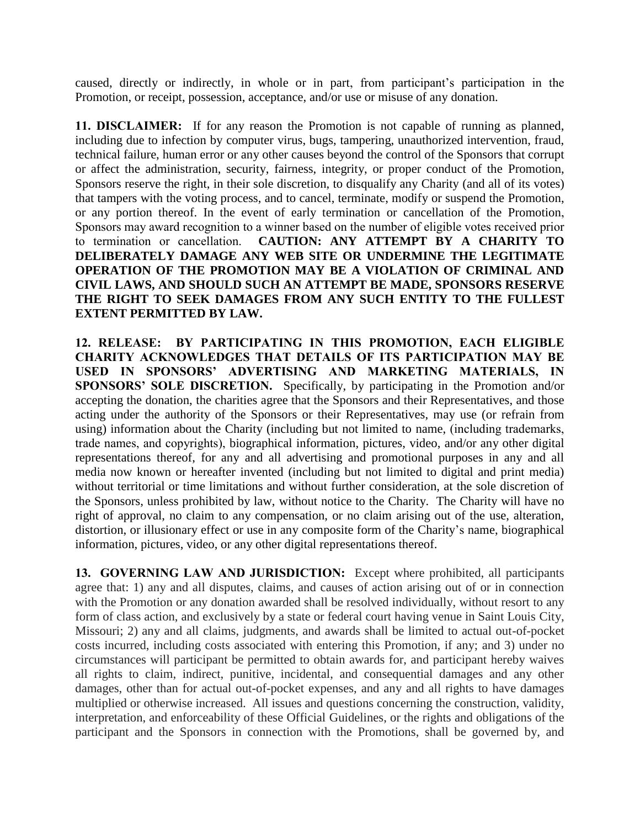caused, directly or indirectly, in whole or in part, from participant's participation in the Promotion, or receipt, possession, acceptance, and/or use or misuse of any donation.

**11. DISCLAIMER:** If for any reason the Promotion is not capable of running as planned, including due to infection by computer virus, bugs, tampering, unauthorized intervention, fraud, technical failure, human error or any other causes beyond the control of the Sponsors that corrupt or affect the administration, security, fairness, integrity, or proper conduct of the Promotion, Sponsors reserve the right, in their sole discretion, to disqualify any Charity (and all of its votes) that tampers with the voting process, and to cancel, terminate, modify or suspend the Promotion, or any portion thereof. In the event of early termination or cancellation of the Promotion, Sponsors may award recognition to a winner based on the number of eligible votes received prior to termination or cancellation. **CAUTION: ANY ATTEMPT BY A CHARITY TO DELIBERATELY DAMAGE ANY WEB SITE OR UNDERMINE THE LEGITIMATE OPERATION OF THE PROMOTION MAY BE A VIOLATION OF CRIMINAL AND CIVIL LAWS, AND SHOULD SUCH AN ATTEMPT BE MADE, SPONSORS RESERVE THE RIGHT TO SEEK DAMAGES FROM ANY SUCH ENTITY TO THE FULLEST EXTENT PERMITTED BY LAW.** 

**12. RELEASE: BY PARTICIPATING IN THIS PROMOTION, EACH ELIGIBLE CHARITY ACKNOWLEDGES THAT DETAILS OF ITS PARTICIPATION MAY BE USED IN SPONSORS' ADVERTISING AND MARKETING MATERIALS, IN SPONSORS' SOLE DISCRETION.** Specifically, by participating in the Promotion and/or accepting the donation, the charities agree that the Sponsors and their Representatives, and those acting under the authority of the Sponsors or their Representatives, may use (or refrain from using) information about the Charity (including but not limited to name, (including trademarks, trade names, and copyrights), biographical information, pictures, video, and/or any other digital representations thereof, for any and all advertising and promotional purposes in any and all media now known or hereafter invented (including but not limited to digital and print media) without territorial or time limitations and without further consideration, at the sole discretion of the Sponsors, unless prohibited by law, without notice to the Charity. The Charity will have no right of approval, no claim to any compensation, or no claim arising out of the use, alteration, distortion, or illusionary effect or use in any composite form of the Charity's name, biographical information, pictures, video, or any other digital representations thereof.

**13. GOVERNING LAW AND JURISDICTION:** Except where prohibited, all participants agree that: 1) any and all disputes, claims, and causes of action arising out of or in connection with the Promotion or any donation awarded shall be resolved individually, without resort to any form of class action, and exclusively by a state or federal court having venue in Saint Louis City, Missouri; 2) any and all claims, judgments, and awards shall be limited to actual out-of-pocket costs incurred, including costs associated with entering this Promotion, if any; and 3) under no circumstances will participant be permitted to obtain awards for, and participant hereby waives all rights to claim, indirect, punitive, incidental, and consequential damages and any other damages, other than for actual out-of-pocket expenses, and any and all rights to have damages multiplied or otherwise increased. All issues and questions concerning the construction, validity, interpretation, and enforceability of these Official Guidelines, or the rights and obligations of the participant and the Sponsors in connection with the Promotions, shall be governed by, and